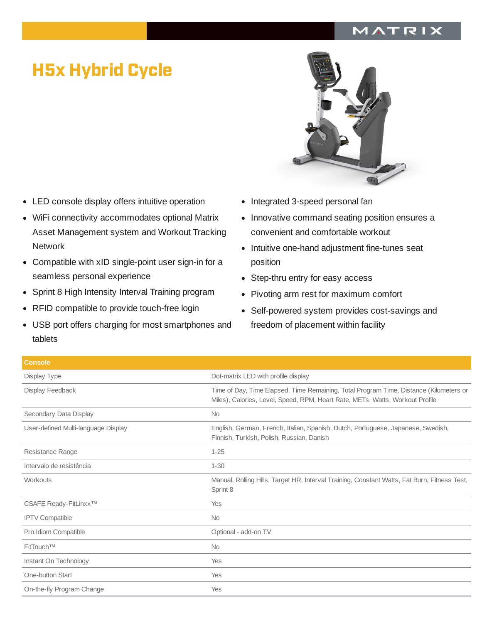## MATRIX

## H5x Hybrid Cycle

- LED console display offers intuitive operation
- WiFi connectivity accommodates optional Matrix Asset Management system and Workout Tracking **Network**
- Compatible with xID single-point user sign-in for a seamless personal experience
- Sprint 8 High Intensity Interval Training program  $\bullet$
- RFID compatible to provide touch-free login  $\bullet$
- USB port offers charging for most smartphones and tablets
- 
- Integrated 3-speed personal fan  $\bullet$
- Innovative command seating position ensures a  $\bullet$ convenient and comfortable workout
- Intuitive one-hand adjustment fine-tunes seat position
- Step-thru entry for easy access
- Pivoting arm rest for maximum comfort  $\bullet$
- Self-powered system provides cost-savings and  $\bullet$ freedom of placement within facility

| <b>Console</b>                      |                                                                                                                                                                         |
|-------------------------------------|-------------------------------------------------------------------------------------------------------------------------------------------------------------------------|
| Display Type                        | Dot-matrix LED with profile display                                                                                                                                     |
| Display Feedback                    | Time of Day, Time Elapsed, Time Remaining, Total Program Time, Distance (Kilometers or<br>Miles), Calories, Level, Speed, RPM, Heart Rate, METs, Watts, Workout Profile |
| Secondary Data Display              | <b>No</b>                                                                                                                                                               |
| User-defined Multi-language Display | English, German, French, Italian, Spanish, Dutch, Portuguese, Japanese, Swedish,<br>Finnish, Turkish, Polish, Russian, Danish                                           |
| Resistance Range                    | $1 - 25$                                                                                                                                                                |
| Intervalo de resistência            | $1 - 30$                                                                                                                                                                |
| Workouts                            | Manual, Rolling Hills, Target HR, Interval Training, Constant Watts, Fat Burn, Fitness Test,<br>Sprint 8                                                                |
| CSAFE Ready-FitLinxx™               | Yes                                                                                                                                                                     |
| <b>IPTV Compatible</b>              | <b>No</b>                                                                                                                                                               |
| Pro: Idiom Compatible               | Optional - add-on TV                                                                                                                                                    |
| FitTouch™                           | <b>No</b>                                                                                                                                                               |
| Instant On Technology               | Yes                                                                                                                                                                     |
| One-button Start                    | Yes                                                                                                                                                                     |
| On-the-fly Program Change           | Yes                                                                                                                                                                     |